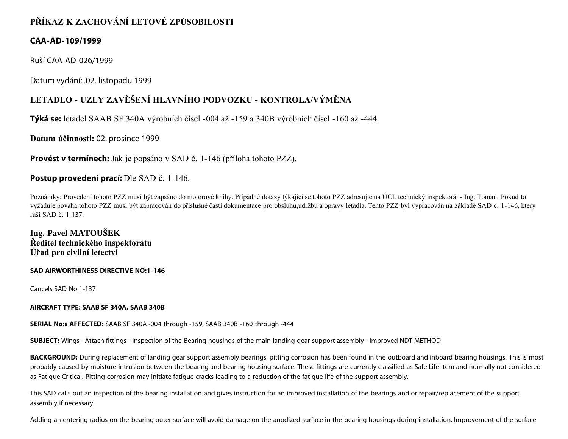# **PŘÍKAZ K ZACHOVÁNÍ LETOVÉ ZPŮSOBILOSTI**

### **CAA-AD-109/1999**

Ruší CAA-AD-026/1999

Datum vydání: .02. listopadu 1999

## **LETADLO - UZLY ZAVĚŠENÍ HLAVNÍHO PODVOZKU - KONTROLA/VÝMĚNA**

**Týká se:** letadel SAAB SF 340A výrobních čísel -004 až -159 a 340B výrobních čísel -160 až -444.

**Datum účinnosti:** 02. prosince 1999

**Provést v termínech:** Jak je popsáno v SAD č. 1-146 (příloha tohoto PZZ).

### **Postup provedení prací:** Dle SAD č. 1-146.

Poznámky: Provedení tohoto PZZ musí být zapsáno do motorové knihy. Případné dotazy týkající se tohoto PZZ adresujte na ÚCL technický inspektorát - Ing. Toman. Pokud to vyžaduje povaha tohoto PZZ musí být zapracován do příslušné části dokumentace pro obsluhu,údržbu a opravy letadla. Tento PZZ byl vypracován na základě SAD č. 1-146, který ruší SAD č. 1-137.

## **Ing. Pavel MATOUŠEK Ředitel technického inspektorátu Úřad pro civilní letectví**

#### **SAD AIRWORTHINESS DIRECTIVE NO:1-146**

Cancels SAD No 1-137

#### **AIRCRAFT TYPE: SAAB SF 340A, SAAB 340B**

**SERIAL No:s AFFECTED:** SAAB SF 340A -004 through -159, SAAB 340B -160 through -444

**SUBJECT:** Wings - Attach fittings - Inspection of the Bearing housings of the main landing gear support assembly - Improved NDT METHOD

BACKGROUND: During replacement of landing gear support assembly bearings, pitting corrosion has been found in the outboard and inboard bearing housings. This is most probably caused by moisture intrusion between the bearing and bearing housing surface. These fittings are currently classified as Safe Life item and normally not considered as Fatigue Critical. Pitting corrosion may initiate fatigue cracks leading to a reduction of the fatigue life of the support assembly.

This SAD calls out an inspection of the bearing installation and gives instruction for an improved installation of the bearings and or repair/replacement of the support assembly if necessary.

Adding an entering radius on the bearing outer surface will avoid damage on the anodized surface in the bearing housings during installation. Improvement of the surface